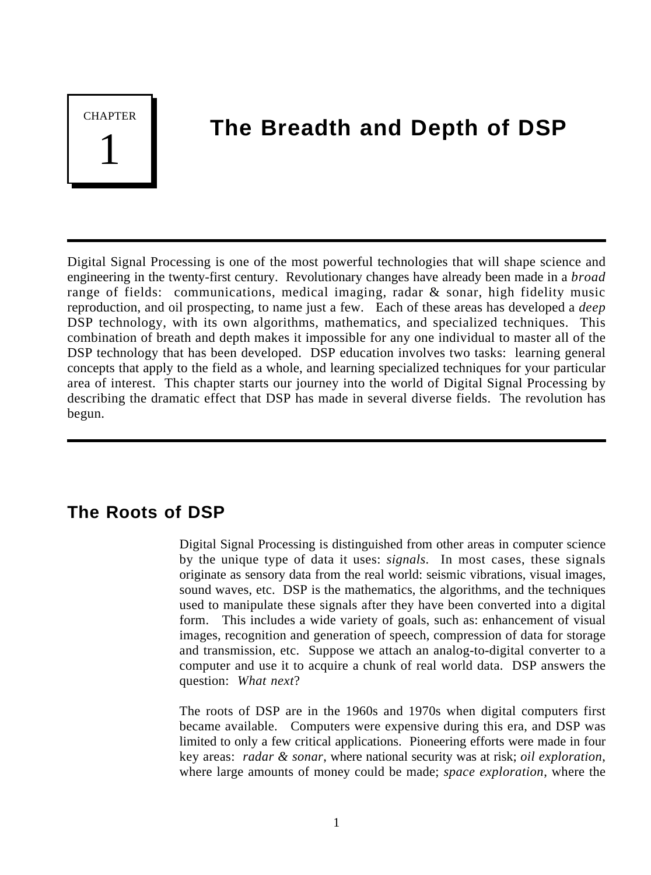**CHAPTER** 1

# **The Breadth and Depth of DSP**

Digital Signal Processing is one of the most powerful technologies that will shape science and engineering in the twenty-first century. Revolutionary changes have already been made in a *broad* range of fields: communications, medical imaging, radar & sonar, high fidelity music reproduction, and oil prospecting, to name just a few. Each of these areas has developed a *deep* DSP technology, with its own algorithms, mathematics, and specialized techniques. This combination of breath and depth makes it impossible for any one individual to master all of the DSP technology that has been developed. DSP education involves two tasks: learning general concepts that apply to the field as a whole, and learning specialized techniques for your particular area of interest. This chapter starts our journey into the world of Digital Signal Processing by describing the dramatic effect that DSP has made in several diverse fields. The revolution has begun.

# **The Roots of DSP**

Digital Signal Processing is distinguished from other areas in computer science by the unique type of data it uses: *signals*. In most cases, these signals originate as sensory data from the real world: seismic vibrations, visual images, sound waves, etc. DSP is the mathematics, the algorithms, and the techniques used to manipulate these signals after they have been converted into a digital form. This includes a wide variety of goals, such as: enhancement of visual images, recognition and generation of speech, compression of data for storage and transmission, etc. Suppose we attach an analog-to-digital converter to a computer and use it to acquire a chunk of real world data. DSP answers the question: *What next*?

The roots of DSP are in the 1960s and 1970s when digital computers first became available. Computers were expensive during this era, and DSP was limited to only a few critical applications. Pioneering efforts were made in four key areas: *radar & sonar*, where national security was at risk; *oil exploration*, where large amounts of money could be made; *space exploration*, where the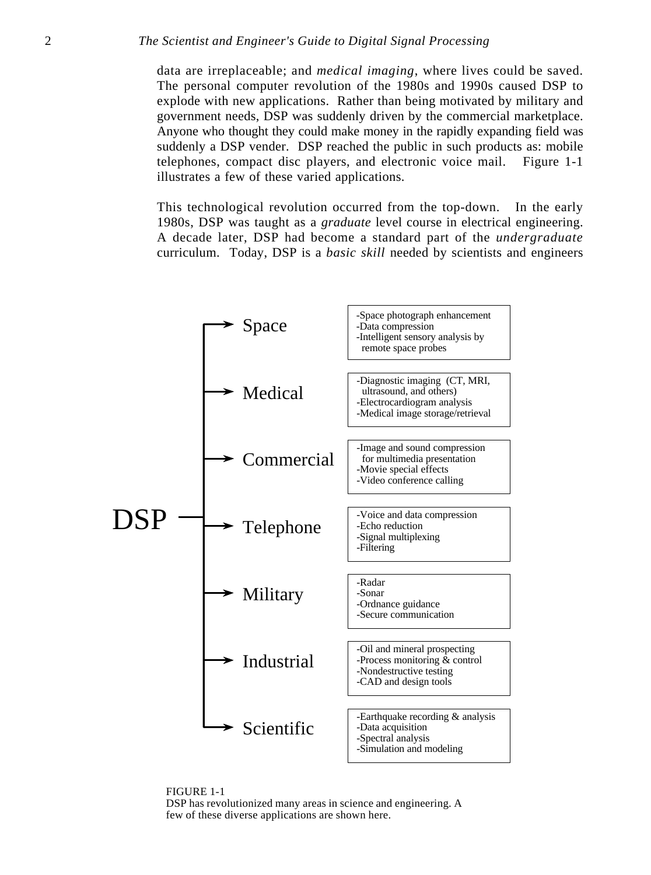data are irreplaceable; and *medical imaging*, where lives could be saved. The personal computer revolution of the 1980s and 1990s caused DSP to explode with new applications. Rather than being motivated by military and government needs, DSP was suddenly driven by the commercial marketplace. Anyone who thought they could make money in the rapidly expanding field was suddenly a DSP vender. DSP reached the public in such products as: mobile telephones, compact disc players, and electronic voice mail. Figure 1-1 illustrates a few of these varied applications.

This technological revolution occurred from the top-down. In the early 1980s, DSP was taught as a *graduate* level course in electrical engineering. A decade later, DSP had become a standard part of the *undergraduate* curriculum. Today, DSP is a *basic skill* needed by scientists and engineers



FIGURE 1-1 DSP has revolutionized many areas in science and engineering. A few of these diverse applications are shown here.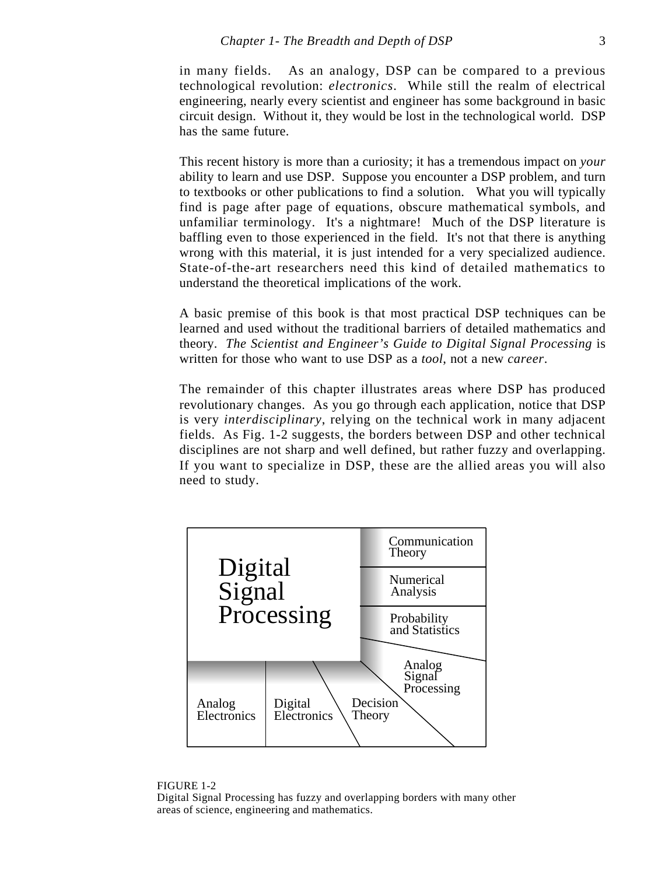in many fields. As an analogy, DSP can be compared to a previous technological revolution: *electronics*. While still the realm of electrical engineering, nearly every scientist and engineer has some background in basic circuit design. Without it, they would be lost in the technological world. DSP has the same future.

This recent history is more than a curiosity; it has a tremendous impact on *your* ability to learn and use DSP. Suppose you encounter a DSP problem, and turn to textbooks or other publications to find a solution. What you will typically find is page after page of equations, obscure mathematical symbols, and unfamiliar terminology. It's a nightmare! Much of the DSP literature is baffling even to those experienced in the field. It's not that there is anything wrong with this material, it is just intended for a very specialized audience. State-of-the-art researchers need this kind of detailed mathematics to understand the theoretical implications of the work.

A basic premise of this book is that most practical DSP techniques can be learned and used without the traditional barriers of detailed mathematics and theory. *The Scientist and Engineer's Guide to Digital Signal Processing* is written for those who want to use DSP as a *tool*, not a new *career*.

The remainder of this chapter illustrates areas where DSP has produced revolutionary changes. As you go through each application, notice that DSP is very *interdisciplinary*, relying on the technical work in many adjacent fields. As Fig. 1-2 suggests, the borders between DSP and other technical disciplines are not sharp and well defined, but rather fuzzy and overlapping. If you want to specialize in DSP, these are the allied areas you will also need to study.



#### FIGURE 1-2

Digital Signal Processing has fuzzy and overlapping borders with many other areas of science, engineering and mathematics.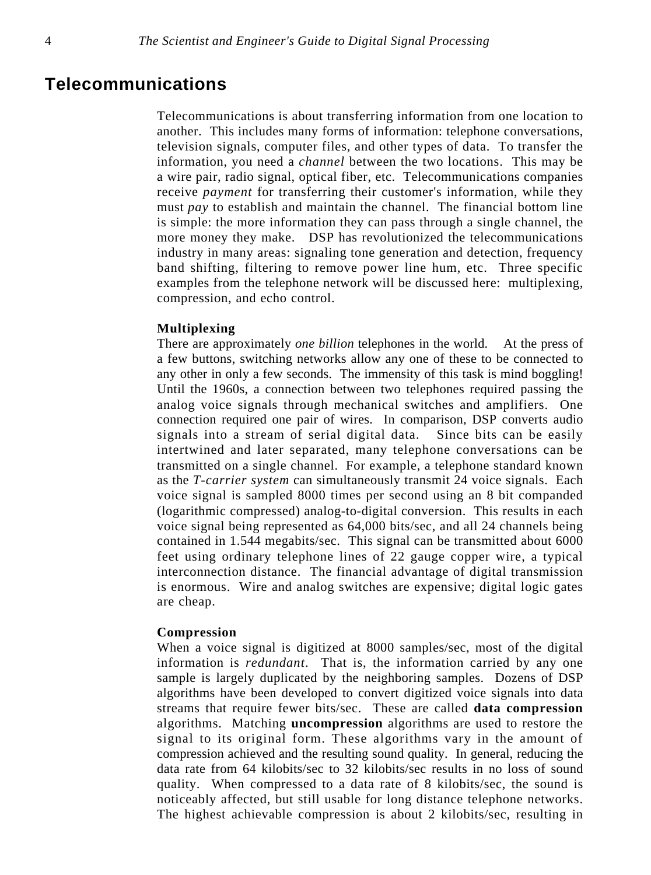# **Telecommunications**

Telecommunications is about transferring information from one location to another. This includes many forms of information: telephone conversations, television signals, computer files, and other types of data. To transfer the information, you need a *channel* between the two locations. This may be a wire pair, radio signal, optical fiber, etc. Telecommunications companies receive *payment* for transferring their customer's information, while they must *pay* to establish and maintain the channel. The financial bottom line is simple: the more information they can pass through a single channel, the more money they make. DSP has revolutionized the telecommunications industry in many areas: signaling tone generation and detection, frequency band shifting, filtering to remove power line hum, etc. Three specific examples from the telephone network will be discussed here: multiplexing, compression, and echo control.

### **Multiplexing**

There are approximately *one billion* telephones in the world. At the press of a few buttons, switching networks allow any one of these to be connected to any other in only a few seconds. The immensity of this task is mind boggling! Until the 1960s, a connection between two telephones required passing the analog voice signals through mechanical switches and amplifiers. One connection required one pair of wires. In comparison, DSP converts audio signals into a stream of serial digital data. Since bits can be easily intertwined and later separated, many telephone conversations can be transmitted on a single channel. For example, a telephone standard known as the *T-carrier system* can simultaneously transmit 24 voice signals. Each voice signal is sampled 8000 times per second using an 8 bit companded (logarithmic compressed) analog-to-digital conversion. This results in each voice signal being represented as 64,000 bits/sec, and all 24 channels being contained in 1.544 megabits/sec. This signal can be transmitted about 6000 feet using ordinary telephone lines of 22 gauge copper wire, a typical interconnection distance. The financial advantage of digital transmission is enormous. Wire and analog switches are expensive; digital logic gates are cheap.

### **Compression**

When a voice signal is digitized at 8000 samples/sec, most of the digital information is *redundant*. That is, the information carried by any one sample is largely duplicated by the neighboring samples. Dozens of DSP algorithms have been developed to convert digitized voice signals into data streams that require fewer bits/sec. These are called **data compression** algorithms. Matching **uncompression** algorithms are used to restore the signal to its original form. These algorithms vary in the amount of compression achieved and the resulting sound quality. In general, reducing the data rate from 64 kilobits/sec to 32 kilobits/sec results in no loss of sound quality. When compressed to a data rate of 8 kilobits/sec, the sound is noticeably affected, but still usable for long distance telephone networks. The highest achievable compression is about 2 kilobits/sec, resulting in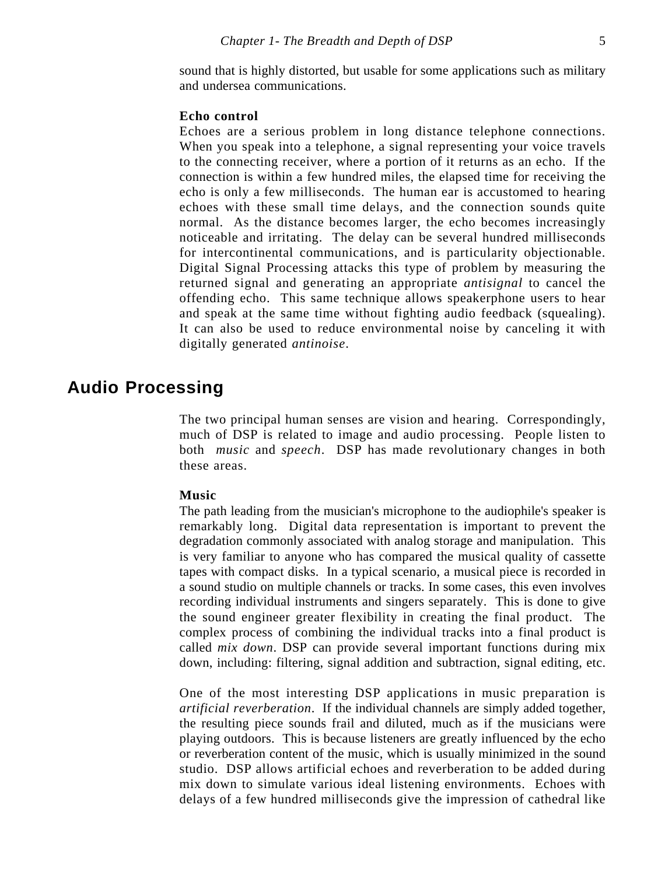sound that is highly distorted, but usable for some applications such as military and undersea communications.

# **Echo control**

Echoes are a serious problem in long distance telephone connections. When you speak into a telephone, a signal representing your voice travels to the connecting receiver, where a portion of it returns as an echo. If the connection is within a few hundred miles, the elapsed time for receiving the echo is only a few milliseconds. The human ear is accustomed to hearing echoes with these small time delays, and the connection sounds quite normal. As the distance becomes larger, the echo becomes increasingly noticeable and irritating. The delay can be several hundred milliseconds for intercontinental communications, and is particularity objectionable. Digital Signal Processing attacks this type of problem by measuring the returned signal and generating an appropriate *antisignal* to cancel the offending echo. This same technique allows speakerphone users to hear and speak at the same time without fighting audio feedback (squealing). It can also be used to reduce environmental noise by canceling it with digitally generated *antinoise*.

# **Audio Processing**

The two principal human senses are vision and hearing. Correspondingly, much of DSP is related to image and audio processing. People listen to both *music* and *speech*. DSP has made revolutionary changes in both these areas.

### **Music**

The path leading from the musician's microphone to the audiophile's speaker is remarkably long. Digital data representation is important to prevent the degradation commonly associated with analog storage and manipulation. This is very familiar to anyone who has compared the musical quality of cassette tapes with compact disks. In a typical scenario, a musical piece is recorded in a sound studio on multiple channels or tracks. In some cases, this even involves recording individual instruments and singers separately. This is done to give the sound engineer greater flexibility in creating the final product. The complex process of combining the individual tracks into a final product is called *mix down*. DSP can provide several important functions during mix down, including: filtering, signal addition and subtraction, signal editing, etc.

One of the most interesting DSP applications in music preparation is *artificial reverberation*. If the individual channels are simply added together, the resulting piece sounds frail and diluted, much as if the musicians were playing outdoors. This is because listeners are greatly influenced by the echo or reverberation content of the music, which is usually minimized in the sound studio. DSP allows artificial echoes and reverberation to be added during mix down to simulate various ideal listening environments. Echoes with delays of a few hundred milliseconds give the impression of cathedral like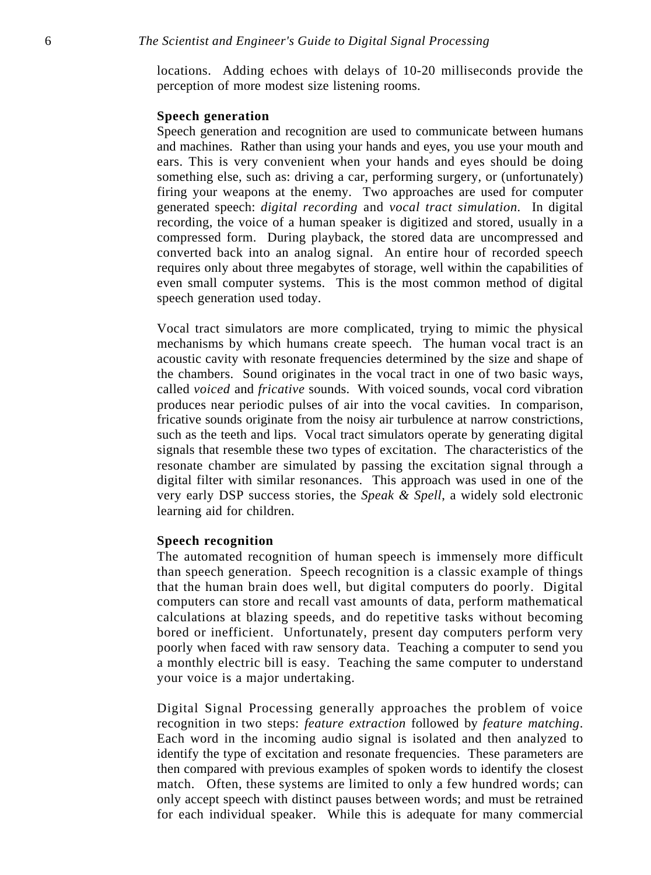locations. Adding echoes with delays of 10-20 milliseconds provide the perception of more modest size listening rooms.

#### **Speech generation**

Speech generation and recognition are used to communicate between humans and machines. Rather than using your hands and eyes, you use your mouth and ears. This is very convenient when your hands and eyes should be doing something else, such as: driving a car, performing surgery, or (unfortunately) firing your weapons at the enemy. Two approaches are used for computer generated speech: *digital recording* and *vocal tract simulation.* In digital recording, the voice of a human speaker is digitized and stored, usually in a compressed form. During playback, the stored data are uncompressed and converted back into an analog signal. An entire hour of recorded speech requires only about three megabytes of storage, well within the capabilities of even small computer systems. This is the most common method of digital speech generation used today.

Vocal tract simulators are more complicated, trying to mimic the physical mechanisms by which humans create speech. The human vocal tract is an acoustic cavity with resonate frequencies determined by the size and shape of the chambers. Sound originates in the vocal tract in one of two basic ways, called *voiced* and *fricative* sounds. With voiced sounds, vocal cord vibration produces near periodic pulses of air into the vocal cavities. In comparison, fricative sounds originate from the noisy air turbulence at narrow constrictions, such as the teeth and lips. Vocal tract simulators operate by generating digital signals that resemble these two types of excitation. The characteristics of the resonate chamber are simulated by passing the excitation signal through a digital filter with similar resonances. This approach was used in one of the very early DSP success stories, the *Speak & Spell*, a widely sold electronic learning aid for children.

#### **Speech recognition**

The automated recognition of human speech is immensely more difficult than speech generation. Speech recognition is a classic example of things that the human brain does well, but digital computers do poorly. Digital computers can store and recall vast amounts of data, perform mathematical calculations at blazing speeds, and do repetitive tasks without becoming bored or inefficient. Unfortunately, present day computers perform very poorly when faced with raw sensory data. Teaching a computer to send you a monthly electric bill is easy. Teaching the same computer to understand your voice is a major undertaking.

Digital Signal Processing generally approaches the problem of voice recognition in two steps: *feature extraction* followed by *feature matching*. Each word in the incoming audio signal is isolated and then analyzed to identify the type of excitation and resonate frequencies. These parameters are then compared with previous examples of spoken words to identify the closest match. Often, these systems are limited to only a few hundred words; can only accept speech with distinct pauses between words; and must be retrained for each individual speaker. While this is adequate for many commercial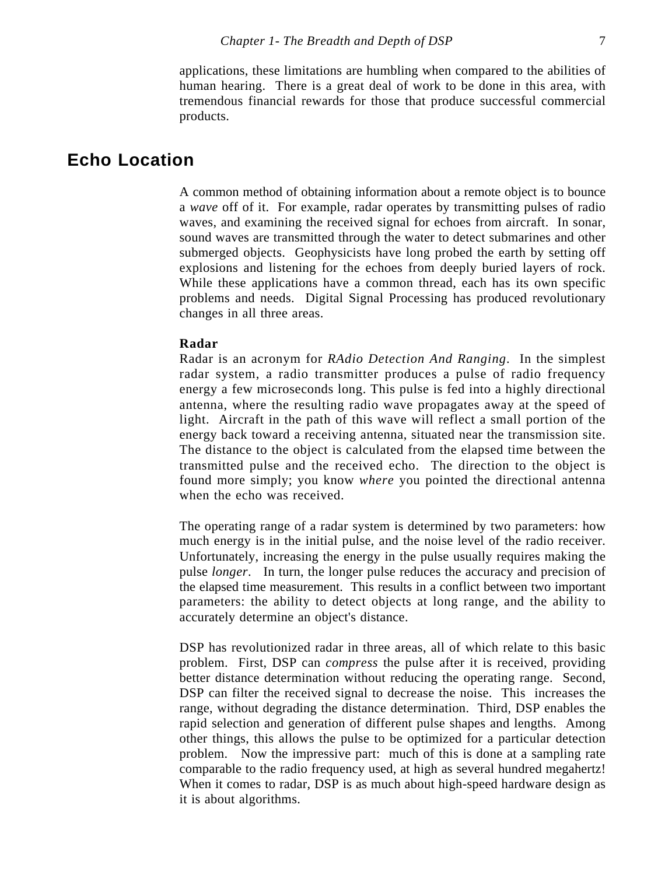applications, these limitations are humbling when compared to the abilities of human hearing. There is a great deal of work to be done in this area, with tremendous financial rewards for those that produce successful commercial products.

# **Echo Location**

A common method of obtaining information about a remote object is to bounce a *wave* off of it. For example, radar operates by transmitting pulses of radio waves, and examining the received signal for echoes from aircraft. In sonar, sound waves are transmitted through the water to detect submarines and other submerged objects. Geophysicists have long probed the earth by setting off explosions and listening for the echoes from deeply buried layers of rock. While these applications have a common thread, each has its own specific problems and needs. Digital Signal Processing has produced revolutionary changes in all three areas.

# **Radar**

Radar is an acronym for *RAdio Detection And Ranging*. In the simplest radar system, a radio transmitter produces a pulse of radio frequency energy a few microseconds long. This pulse is fed into a highly directional antenna, where the resulting radio wave propagates away at the speed of light. Aircraft in the path of this wave will reflect a small portion of the energy back toward a receiving antenna, situated near the transmission site. The distance to the object is calculated from the elapsed time between the transmitted pulse and the received echo. The direction to the object is found more simply; you know *where* you pointed the directional antenna when the echo was received.

The operating range of a radar system is determined by two parameters: how much energy is in the initial pulse, and the noise level of the radio receiver. Unfortunately, increasing the energy in the pulse usually requires making the pulse *longer*. In turn, the longer pulse reduces the accuracy and precision of the elapsed time measurement. This results in a conflict between two important parameters: the ability to detect objects at long range, and the ability to accurately determine an object's distance.

DSP has revolutionized radar in three areas, all of which relate to this basic problem. First, DSP can *compress* the pulse after it is received, providing better distance determination without reducing the operating range. Second, DSP can filter the received signal to decrease the noise. This increases the range, without degrading the distance determination. Third, DSP enables the rapid selection and generation of different pulse shapes and lengths. Among other things, this allows the pulse to be optimized for a particular detection problem. Now the impressive part: much of this is done at a sampling rate comparable to the radio frequency used, at high as several hundred megahertz! When it comes to radar, DSP is as much about high-speed hardware design as it is about algorithms.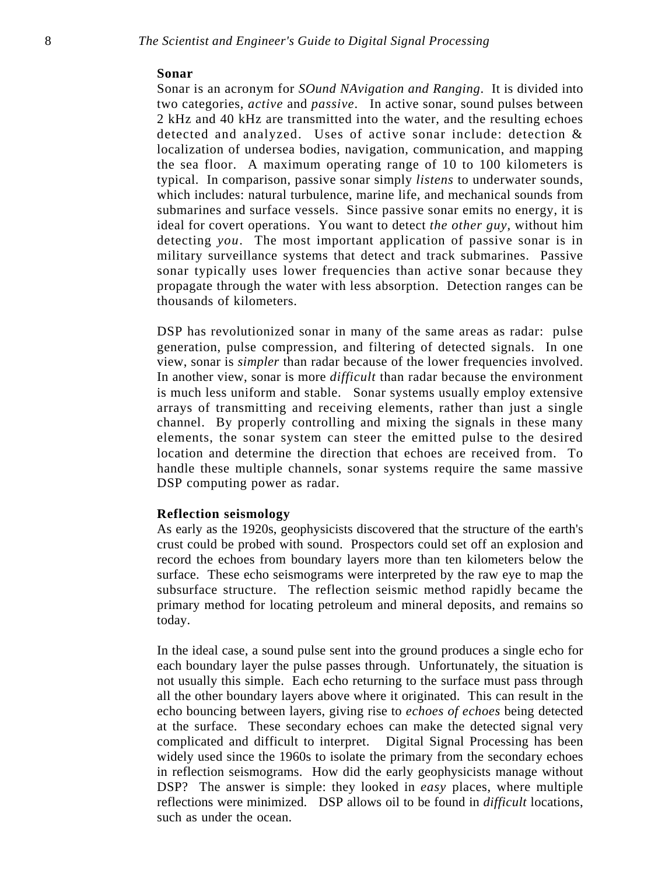#### **Sonar**

Sonar is an acronym for *SOund NAvigation and Ranging*. It is divided into two categories, *active* and *passive*. In active sonar, sound pulses between 2 kHz and 40 kHz are transmitted into the water, and the resulting echoes detected and analyzed. Uses of active sonar include: detection & localization of undersea bodies, navigation, communication, and mapping the sea floor. A maximum operating range of 10 to 100 kilometers is typical. In comparison, passive sonar simply *listens* to underwater sounds, which includes: natural turbulence, marine life, and mechanical sounds from submarines and surface vessels. Since passive sonar emits no energy, it is ideal for covert operations. You want to detect *the other guy*, without him detecting *you*. The most important application of passive sonar is in military surveillance systems that detect and track submarines. Passive sonar typically uses lower frequencies than active sonar because they propagate through the water with less absorption. Detection ranges can be thousands of kilometers.

DSP has revolutionized sonar in many of the same areas as radar: pulse generation, pulse compression, and filtering of detected signals. In one view, sonar is *simpler* than radar because of the lower frequencies involved. In another view, sonar is more *difficult* than radar because the environment is much less uniform and stable. Sonar systems usually employ extensive arrays of transmitting and receiving elements, rather than just a single channel. By properly controlling and mixing the signals in these many elements, the sonar system can steer the emitted pulse to the desired location and determine the direction that echoes are received from. To handle these multiple channels, sonar systems require the same massive DSP computing power as radar.

### **Reflection seismology**

As early as the 1920s, geophysicists discovered that the structure of the earth's crust could be probed with sound. Prospectors could set off an explosion and record the echoes from boundary layers more than ten kilometers below the surface. These echo seismograms were interpreted by the raw eye to map the subsurface structure. The reflection seismic method rapidly became the primary method for locating petroleum and mineral deposits, and remains so today.

In the ideal case, a sound pulse sent into the ground produces a single echo for each boundary layer the pulse passes through. Unfortunately, the situation is not usually this simple. Each echo returning to the surface must pass through all the other boundary layers above where it originated. This can result in the echo bouncing between layers, giving rise to *echoes of echoes* being detected at the surface. These secondary echoes can make the detected signal very complicated and difficult to interpret. Digital Signal Processing has been widely used since the 1960s to isolate the primary from the secondary echoes in reflection seismograms. How did the early geophysicists manage without DSP? The answer is simple: they looked in *easy* places, where multiple reflections were minimized. DSP allows oil to be found in *difficult* locations, such as under the ocean.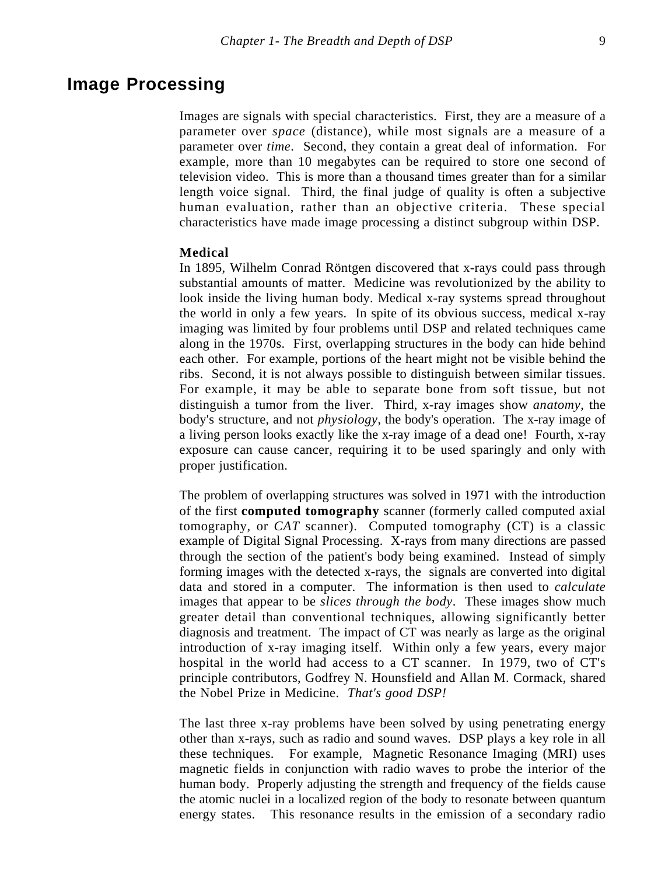# **Image Processing**

Images are signals with special characteristics. First, they are a measure of a parameter over *space* (distance), while most signals are a measure of a parameter over *time*. Second, they contain a great deal of information. For example, more than 10 megabytes can be required to store one second of television video. This is more than a thousand times greater than for a similar length voice signal. Third, the final judge of quality is often a subjective human evaluation, rather than an objective criteria. These special characteristics have made image processing a distinct subgroup within DSP.

#### **Medical**

In 1895, Wilhelm Conrad Röntgen discovered that x-rays could pass through substantial amounts of matter. Medicine was revolutionized by the ability to look inside the living human body. Medical x-ray systems spread throughout the world in only a few years. In spite of its obvious success, medical x-ray imaging was limited by four problems until DSP and related techniques came along in the 1970s. First, overlapping structures in the body can hide behind each other. For example, portions of the heart might not be visible behind the ribs. Second, it is not always possible to distinguish between similar tissues. For example, it may be able to separate bone from soft tissue, but not distinguish a tumor from the liver. Third, x-ray images show *anatomy*, the body's structure, and not *physiology*, the body's operation. The x-ray image of a living person looks exactly like the x-ray image of a dead one! Fourth, x-ray exposure can cause cancer, requiring it to be used sparingly and only with proper justification.

The problem of overlapping structures was solved in 1971 with the introduction of the first **computed tomography** scanner (formerly called computed axial tomography, or *CAT* scanner). Computed tomography (CT) is a classic example of Digital Signal Processing. X-rays from many directions are passed through the section of the patient's body being examined. Instead of simply forming images with the detected x-rays, the signals are converted into digital data and stored in a computer. The information is then used to *calculate* images that appear to be *slices through the body*. These images show much greater detail than conventional techniques, allowing significantly better diagnosis and treatment. The impact of CT was nearly as large as the original introduction of x-ray imaging itself. Within only a few years, every major hospital in the world had access to a CT scanner. In 1979, two of CT's principle contributors, Godfrey N. Hounsfield and Allan M. Cormack, shared the Nobel Prize in Medicine. *That's good DSP!*

The last three x-ray problems have been solved by using penetrating energy other than x-rays, such as radio and sound waves. DSP plays a key role in all these techniques. For example, Magnetic Resonance Imaging (MRI) uses magnetic fields in conjunction with radio waves to probe the interior of the human body. Properly adjusting the strength and frequency of the fields cause the atomic nuclei in a localized region of the body to resonate between quantum energy states. This resonance results in the emission of a secondary radio